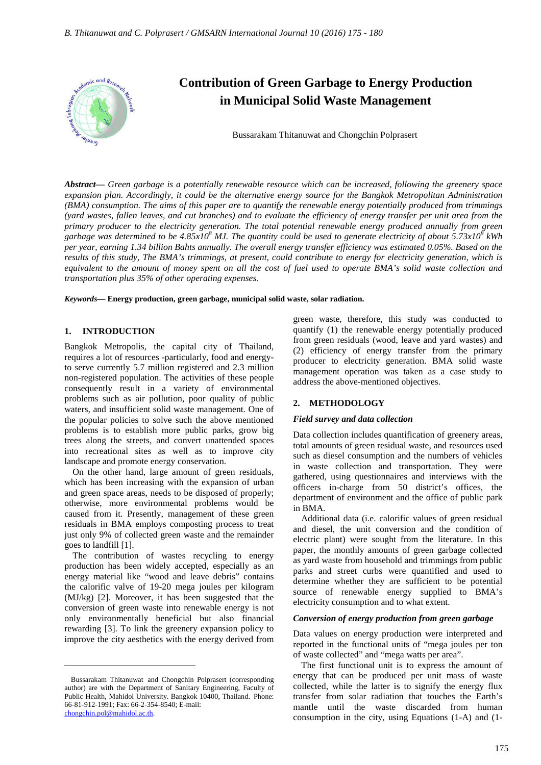

*Abstract***—** *Green garbage is a potentially renewable resource which can be increased, following the greenery space expansion plan. Accordingly, it could be the alternative energy source for the Bangkok Metropolitan Administration (BMA) consumption. The aims of this paper are to quantify the renewable energy potentially produced from trimmings (yard wastes, fallen leaves, and cut branches) and to evaluate the efficiency of energy transfer per unit area from the primary producer to the electricity generation. The total potential renewable energy produced annually from green* garbage was determined to be 4.85x10<sup>8</sup> MJ. The quantity could be used to generate electricity of about 5.73x10<sup>8</sup> kWh *per year, earning 1.34 billion Bahts annually. The overall energy transfer efficiency was estimated 0.05%. Based on the results of this study, The BMA's trimmings, at present, could contribute to energy for electricity generation, which is equivalent to the amount of money spent on all the cost of fuel used to operate BMA's solid waste collection and transportation plus 35% of other operating expenses.*

*Keywords***— Energy production, green garbage, municipal solid waste, solar radiation.**

#### **1. INTRODUCTION**

Bangkok Metropolis, the capital city of Thailand, requires a lot of resources -particularly, food and energyto serve currently 5.7 million registered and 2.3 million non-registered population. The activities of these people consequently result in a variety of environmental problems such as air pollution, poor quality of public waters, and insufficient solid waste management. One of the popular policies to solve such the above mentioned problems is to establish more public parks, grow big trees along the streets, and convert unattended spaces into recreational sites as well as to improve city landscape and promote energy conservation.

On the other hand, large amount of green residuals, which has been increasing with the expansion of urban and green space areas, needs to be disposed of properly; otherwise, more environmental problems would be caused from it. Presently, management of these green residuals in BMA employs composting process to treat just only 9% of collected green waste and the remainder goes to landfill [1].

The contribution of wastes recycling to energy production has been widely accepted, especially as an energy material like "wood and leave debris" contains the calorific valve of 19-20 mega joules per kilogram (MJ/kg) [2]. Moreover, it has been suggested that the conversion of green waste into renewable energy is not only environmentally beneficial but also financial rewarding [3]. To link the greenery expansion policy to improve the city aesthetics with the energy derived from

 $\overline{a}$ 

green waste, therefore, this study was conducted to quantify (1) the renewable energy potentially produced from green residuals (wood, leave and yard wastes) and (2) efficiency of energy transfer from the primary producer to electricity generation. BMA solid waste management operation was taken as a case study to address the above-mentioned objectives.

# **2. METHODOLOGY**

### *Field survey and data collection*

Data collection includes quantification of greenery areas, total amounts of green residual waste, and resources used such as diesel consumption and the numbers of vehicles in waste collection and transportation. They were gathered, using questionnaires and interviews with the officers in-charge from 50 district's offices, the department of environment and the office of public park in BMA.

Additional data (i.e. calorific values of green residual and diesel, the unit conversion and the condition of electric plant) were sought from the literature. In this paper, the monthly amounts of green garbage collected as yard waste from household and trimmings from public parks and street curbs were quantified and used to determine whether they are sufficient to be potential source of renewable energy supplied to BMA's electricity consumption and to what extent.

### *Conversion of energy production from green garbage*

Data values on energy production were interpreted and reported in the functional units of "mega joules per ton of waste collected" and "mega watts per area".

The first functional unit is to express the amount of energy that can be produced per unit mass of waste collected, while the latter is to signify the energy flux transfer from solar radiation that touches the Earth's mantle until the waste discarded from human consumption in the city, using Equations (1-A) and (1-

Bussarakam Thitanuwat and Chongchin Polprasert (corresponding author) are with the Department of Sanitary Engineering, Faculty of Public Health, Mahidol University. Bangkok 10400, Thailand. Phone: 66-81-912-1991; Fax: 66-2-354-8540; E-mail: chongchin.pol@mahidol.ac.th.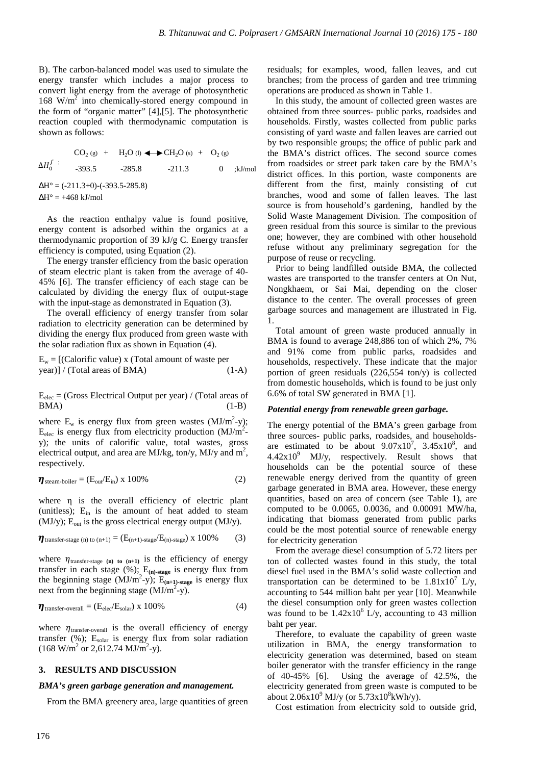B). The carbon-balanced model was used to simulate the energy transfer which includes a major process to convert light energy from the average of photosynthetic 168  $W/m^2$  into chemically-stored energy compound in the form of "organic matter" [4],[5]. The photosynthetic reaction coupled with thermodynamic computation is shown as follows:

 $CO<sub>2</sub>(g)$  + H<sub>2</sub>O (l)  $\longleftrightarrow$  CH<sub>2</sub>O (s) + O<sub>2</sub> (g)  $\Delta H_0^f$  ;  $-393.5$   $-285.8$   $-211.3$  0  $\cdot$ kJ/mol  $\Delta H^{\circ} = (-211.3+0)$ - $(-393.5-285.8)$  $\Delta H^{\circ} = +468$  kJ/mol

As the reaction enthalpy value is found positive, energy content is adsorbed within the organics at a thermodynamic proportion of 39 kJ/g C. Energy transfer efficiency is computed, using Equation (2).

The energy transfer efficiency from the basic operation of steam electric plant is taken from the average of 40- 45% [6]. The transfer efficiency of each stage can be calculated by dividing the energy flux of output-stage with the input-stage as demonstrated in Equation (3).

The overall efficiency of energy transfer from solar radiation to electricity generation can be determined by dividing the energy flux produced from green waste with the solar radiation flux as shown in Equation (4).

 $E_w = [$ (Calorific value) x (Total amount of waste per year)] / (Total areas of BMA) (1-A)

 $E_{elec}$  = (Gross Electrical Output per year) / (Total areas of  $BMA)$  (1-B)

where  $E_w$  is energy flux from green wastes  $(MJ/m^2-y)$ ;  $E_{elec}$  is energy flux from electricity production (MJ/m<sup>2</sup>y); the units of calorific value, total wastes, gross electrical output, and area are MJ/kg, ton/y, MJ/y and  $m^2$ , respectively.

$$
\eta_{\text{steam-boiler}} = (E_{\text{out}}/E_{\text{in}}) \times 100\%
$$
 (2)

where η is the overall efficiency of electric plant (unitless);  $E_{in}$  is the amount of heat added to steam (MJ/y);  $E_{\text{out}}$  is the gross electrical energy output (MJ/y).

$$
\eta_{transfer\text{-}stage\ (n)\ to\ (n+1)} = (E_{(n+1)\text{-}stage}/E_{(n)\text{-}stage}) \ x\ 100\% \tag{3}
$$

where  $\eta_{\text{transfer-stage (n) to (n+1)}}$  is the efficiency of energy transfer in each stage  $(\%)$ ; E<sub>(n)-stage</sub> is energy flux from the beginning stage  $(MJ/m^2-y)$ ;  $E_{(n+1)\text{-stage}}$  is energy flux next from the beginning stage  $(MJ/m^2-y)$ .

$$
\eta_{\text{transfer-overall}} = (E_{\text{elec}}/E_{\text{solar}}) \times 100\%
$$
 (4)

where  $\eta_{\text{transfer-overall}}$  is the overall efficiency of energy transfer (%); Esolar is energy flux from solar radiation  $(168 \text{ W/m}^2 \text{ or } 2,612.74 \text{ MJ/m}^2\text{-y}).$ 

### **3. RESULTS AND DISCUSSION**

## *BMA's green garbage generation and management.*

From the BMA greenery area, large quantities of green

residuals; for examples, wood, fallen leaves, and cut branches; from the process of garden and tree trimming operations are produced as shown in Table 1.

In this study, the amount of collected green wastes are obtained from three sources- public parks, roadsides and households. Firstly, wastes collected from public parks consisting of yard waste and fallen leaves are carried out by two responsible groups; the office of public park and the BMA's district offices. The second source comes from roadsides or street park taken care by the BMA's district offices. In this portion, waste components are different from the first, mainly consisting of cut branches, wood and some of fallen leaves. The last source is from household's gardening, handled by the Solid Waste Management Division. The composition of green residual from this source is similar to the previous one; however, they are combined with other household refuse without any preliminary segregation for the purpose of reuse or recycling.

Prior to being landfilled outside BMA, the collected wastes are transported to the transfer centers at On Nut, Nongkhaem, or Sai Mai, depending on the closer distance to the center. The overall processes of green garbage sources and management are illustrated in Fig. 1.

Total amount of green waste produced annually in BMA is found to average 248,886 ton of which 2%, 7% and 91% come from public parks, roadsides and households, respectively. These indicate that the major portion of green residuals (226,554 ton/y) is collected from domestic households, which is found to be just only 6.6% of total SW generated in BMA [1].

### *Potential energy from renewable green garbage.*

The energy potential of the BMA's green garbage from three sources- public parks, roadsides, and householdsare estimated to be about  $9.07 \times 10^7$ ,  $3.45 \times 10^8$ , and  $4.42x10<sup>9</sup>$  MJ/y, respectively. Result shows that households can be the potential source of these renewable energy derived from the quantity of green garbage generated in BMA area. However, these energy quantities, based on area of concern (see Table 1), are computed to be 0.0065, 0.0036, and 0.00091 MW/ha, indicating that biomass generated from public parks could be the most potential source of renewable energy for electricity generation

From the average diesel consumption of 5.72 liters per ton of collected wastes found in this study, the total diesel fuel used in the BMA's solid waste collection and transportation can be determined to be  $1.81x10^7$  L/y, accounting to 544 million baht per year [10]. Meanwhile the diesel consumption only for green wastes collection was found to be  $1.42x10^6$  L/y, accounting to 43 million baht per year.

Therefore, to evaluate the capability of green waste utilization in BMA, the energy transformation to electricity generation was determined, based on steam boiler generator with the transfer efficiency in the range of 40-45% [6]. Using the average of 42.5%, the electricity generated from green waste is computed to be about  $2.06x10^9$  MJ/y (or  $5.73x10^8$ kWh/y).

Cost estimation from electricity sold to outside grid,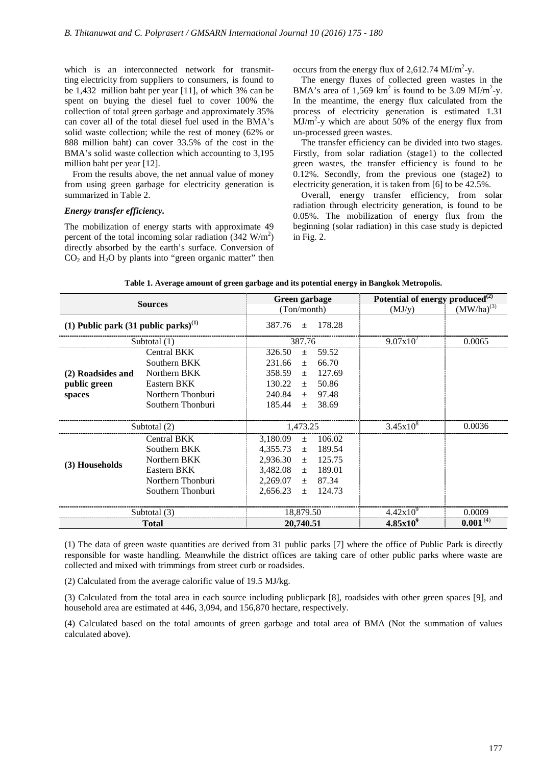which is an interconnected network for transmitting electricity from suppliers to consumers, is found to be 1,432 million baht per year [11], of which 3% can be spent on buying the diesel fuel to cover 100% the collection of total green garbage and approximately 35% can cover all of the total diesel fuel used in the BMA's solid waste collection; while the rest of money (62% or 888 million baht) can cover 33.5% of the cost in the BMA's solid waste collection which accounting to 3,195 million baht per year [12].

From the results above, the net annual value of money from using green garbage for electricity generation is summarized in Table 2.

### *Energy transfer efficiency.*

The mobilization of energy starts with approximate 49 percent of the total incoming solar radiation  $(342 \text{ W/m}^2)$ directly absorbed by the earth's surface. Conversion of  $CO<sub>2</sub>$  and  $H<sub>2</sub>O$  by plants into "green organic matter" then

occurs from the energy flux of 2,612.74  $MJ/m^2$ -y.

The energy fluxes of collected green wastes in the BMA's area of 1,569  $km^2$  is found to be 3.09 MJ/m<sup>2</sup>-y. In the meantime, the energy flux calculated from the process of electricity generation is estimated 1.31  $\text{MJ/m}^2$ -y which are about 50% of the energy flux from un-processed green wastes.

The transfer efficiency can be divided into two stages. Firstly, from solar radiation (stage1) to the collected green wastes, the transfer efficiency is found to be 0.12%. Secondly, from the previous one (stage2) to electricity generation, it is taken from [6] to be 42.5%.

Overall, energy transfer efficiency, from solar radiation through electricity generation, is found to be 0.05%. The mobilization of energy flux from the beginning (solar radiation) in this case study is depicted in Fig. 2.

| <b>Sources</b>                                   |                    | Green garbage               | Potential of energy produced $^{(2)}$ |                 |
|--------------------------------------------------|--------------------|-----------------------------|---------------------------------------|-----------------|
|                                                  |                    | (Ton/month)                 | (MJ/y)                                | $(MW/ha)^{(3)}$ |
| (1) Public park (31 public parks) <sup>(1)</sup> |                    | 178.28<br>387.76<br>$+$     |                                       |                 |
| Subtotal $(1)$                                   |                    | 387.76                      | 9.07x10'                              | 0.0065          |
|                                                  | Central BKK        | 326.50<br>59.52<br>$+$      |                                       |                 |
|                                                  | Southern BKK       | 231.66<br>66.70<br>$+$      |                                       |                 |
| (2) Roadsides and                                | Northern BKK       | 358.59<br>127.69<br>$+$     |                                       |                 |
| public green                                     | Eastern BKK        | 130.22<br>50.86<br>$+$      |                                       |                 |
| spaces                                           | Northern Thonburi  | 240.84<br>$\pm$ 97.48       |                                       |                 |
|                                                  | Southern Thonburi  | 185.44<br>38.69<br>$+$      |                                       |                 |
|                                                  |                    |                             |                                       |                 |
| Subtotal (2)                                     |                    | 1,473.25                    | $3.45x10^{8}$                         | 0.0036          |
|                                                  | <b>Central BKK</b> | 3,180.09<br>106.02<br>$+$   |                                       |                 |
|                                                  | Southern BKK       | 4,355.73<br>189.54<br>$\pm$ |                                       |                 |
| (3) Households                                   | Northern BKK       | $2,936.30 \pm 125.75$       |                                       |                 |
|                                                  | Eastern BKK        | $3,482.08 \pm 189.01$       |                                       |                 |
|                                                  | Northern Thonburi  | 2,269.07<br>87.34<br>土      |                                       |                 |
|                                                  | Southern Thonburi  | 2,656.23<br>124.73<br>$+$   |                                       |                 |
|                                                  |                    |                             |                                       |                 |
| Subtotal (3)                                     |                    | 18,879.50                   | $4.42x10^{9}$                         | 0.0009          |
| <b>Total</b>                                     |                    | 20,740.51                   | $4.85x10^{9}$                         | $0.001^{(4)}$   |

**Table 1. Average amount of green garbage and its potential energy in Bangkok Metropolis.**

(1) The data of green waste quantities are derived from 31 public parks [7] where the office of Public Park is directly responsible for waste handling. Meanwhile the district offices are taking care of other public parks where waste are collected and mixed with trimmings from street curb or roadsides.

(2) Calculated from the average calorific value of 19.5 MJ/kg.

(3) Calculated from the total area in each source including publicpark [8], roadsides with other green spaces [9], and household area are estimated at 446, 3,094, and 156,870 hectare, respectively.

(4) Calculated based on the total amounts of green garbage and total area of BMA (Not the summation of values calculated above).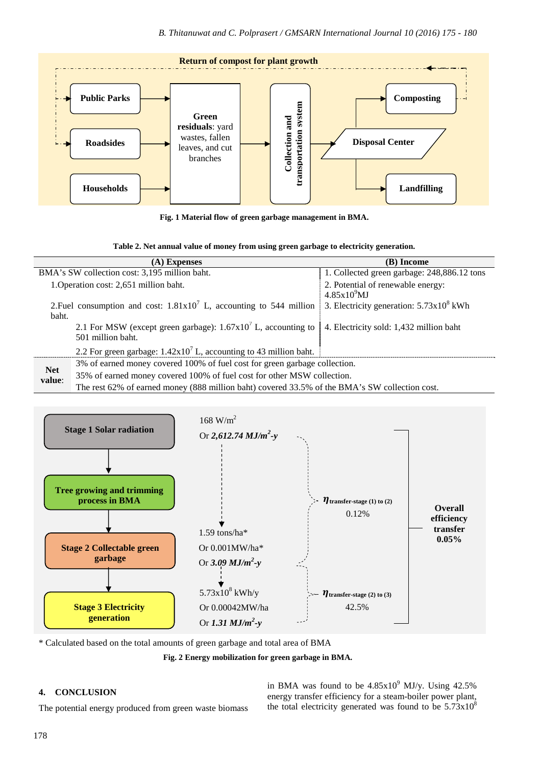

**Fig. 1 Material flow of green garbage management in BMA.** 

| Table 2. Net annual value of money from using green garbage to electricity generation. |  |  |
|----------------------------------------------------------------------------------------|--|--|
|----------------------------------------------------------------------------------------|--|--|

|                                                                               | (A) Expenses                                                                                   | (B) Income                                        |  |  |
|-------------------------------------------------------------------------------|------------------------------------------------------------------------------------------------|---------------------------------------------------|--|--|
| BMA's SW collection cost: 3,195 million baht.                                 |                                                                                                | 1. Collected green garbage: 248,886.12 tons       |  |  |
| 1. Operation cost: 2,651 million baht.                                        |                                                                                                | 2. Potential of renewable energy:                 |  |  |
|                                                                               |                                                                                                | 4.85x10 <sup>9</sup> MJ                           |  |  |
| 2. Fuel consumption and cost: $1.81 \times 10^7$ L, accounting to 544 million |                                                                                                | 3. Electricity generation: $5.73 \times 10^8$ kWh |  |  |
| baht.                                                                         |                                                                                                |                                                   |  |  |
|                                                                               | 2.1 For MSW (except green garbage): $1.67 \times 10^7$ L, accounting to                        | 4. Electricity sold: 1,432 million baht           |  |  |
|                                                                               | 501 million baht.                                                                              |                                                   |  |  |
|                                                                               | 2.2 For green garbage: $1.42 \times 10^7$ L, accounting to 43 million baht.                    |                                                   |  |  |
|                                                                               | 3% of earned money covered 100% of fuel cost for green garbage collection.                     |                                                   |  |  |
| <b>Net</b><br>value:                                                          | 35% of earned money covered 100% of fuel cost for other MSW collection.                        |                                                   |  |  |
|                                                                               | The rest 62% of earned money (888 million baht) covered 33.5% of the BMA's SW collection cost. |                                                   |  |  |



\* Calculated based on the total amounts of green garbage and total area of BMA

**Fig. 2 Energy mobilization for green garbage in BMA.**

# **4. CONCLUSION**

The potential energy produced from green waste biomass

in BMA was found to be  $4.85 \times 10^9$  MJ/y. Using  $42.5\%$ energy transfer efficiency for a steam-boiler power plant, the total electricity generated was found to be  $5.73 \times 10^8$